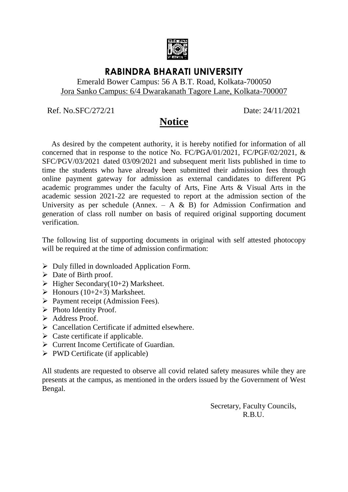

# **RABINDRA BHARATI UNIVERSITY**

### Emerald Bower Campus: 56 A B.T. Road, Kolkata-700050 Jora Sanko Campus: 6/4 Dwarakanath Tagore Lane, Kolkata-700007

Ref. No.SFC/272/21 Date: 24/11/2021

# **Notice**

 As desired by the competent authority, it is hereby notified for information of all concerned that in response to the notice No. FC/PGA/01/2021, FC/PGF/02/2021, & SFC/PGV/03/2021 dated 03/09/2021 and subsequent merit lists published in time to time the students who have already been submitted their admission fees through online payment gateway for admission as external candidates to different PG academic programmes under the faculty of Arts, Fine Arts & Visual Arts in the academic session 2021-22 are requested to report at the admission section of the University as per schedule (Annex.  $- A \& B$ ) for Admission Confirmation and generation of class roll number on basis of required original supporting document verification.

The following list of supporting documents in original with self attested photocopy will be required at the time of admission confirmation:

- $\triangleright$  Duly filled in downloaded Application Form.
- $\triangleright$  Date of Birth proof.
- $\triangleright$  Higher Secondary(10+2) Marksheet.
- $\triangleright$  Honours (10+2+3) Marksheet.
- $\triangleright$  Payment receipt (Admission Fees).
- $\triangleright$  Photo Identity Proof.
- > Address Proof.
- $\triangleright$  Cancellation Certificate if admitted elsewhere.
- $\triangleright$  Caste certificate if applicable.
- Current Income Certificate of Guardian.
- $\triangleright$  PWD Certificate (if applicable)

All students are requested to observe all covid related safety measures while they are presents at the campus, as mentioned in the orders issued by the Government of West Bengal.

> Secretary, Faculty Councils, R.B.U.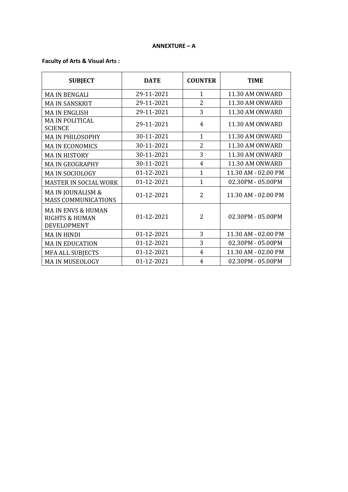#### **ANNEXTURE – A**

### **Faculty of Arts & Visual Arts :**

| <b>SUBJECT</b>                                                                  | <b>DATE</b> | <b>COUNTER</b> | <b>TIME</b>         |
|---------------------------------------------------------------------------------|-------------|----------------|---------------------|
| <b>MA IN BENGALI</b>                                                            | 29-11-2021  | $\mathbf{1}$   | 11.30 AM ONWARD     |
| <b>MA IN SANSKRIT</b>                                                           | 29-11-2021  | $\overline{2}$ | 11.30 AM ONWARD     |
| <b>MA IN ENGLISH</b>                                                            | 29-11-2021  | 3              | 11.30 AM ONWARD     |
| <b>MA IN POLITICAL</b><br><b>SCIENCE</b>                                        | 29-11-2021  | 4              | 11.30 AM ONWARD     |
| MA IN PHILOSOPHY                                                                | 30-11-2021  | $\mathbf{1}$   | 11.30 AM ONWARD     |
| <b>MAIN ECONOMICS</b>                                                           | 30-11-2021  | 2              | 11.30 AM ONWARD     |
| <b>MAIN HISTORY</b>                                                             | 30-11-2021  | 3              | 11.30 AM ONWARD     |
| <b>MAIN GEOGRAPHY</b>                                                           | 30-11-2021  | 4              | 11.30 AM ONWARD     |
| <b>MA IN SOCIOLOGY</b>                                                          | 01-12-2021  | $\mathbf{1}$   | 11.30 AM - 02.00 PM |
| <b>MASTER IN SOCIAL WORK</b>                                                    | 01-12-2021  | $\mathbf{1}$   | 02.30PM - 05.00PM   |
| MA IN JOUNALISM &<br><b>MASS COMMUNICATIONS</b>                                 | 01-12-2021  | $\overline{2}$ | 11.30 AM - 02.00 PM |
| <b>MAIN ENVS &amp; HUMAN</b><br><b>RIGHTS &amp; HUMAN</b><br><b>DEVELOPMENT</b> | 01-12-2021  | 2              | 02.30PM - 05.00PM   |
| MA IN HINDI                                                                     | 01-12-2021  | 3              | 11.30 AM - 02.00 PM |
| <b>MA IN EDUCATION</b>                                                          | 01-12-2021  | 3              | 02.30PM - 05.00PM   |
| <b>MFA ALL SUBJECTS</b>                                                         | 01-12-2021  | 4              | 11.30 AM - 02.00 PM |
| <b>MA IN MUSEOLOGY</b>                                                          | 01-12-2021  | 4              | 02.30PM - 05.00PM   |